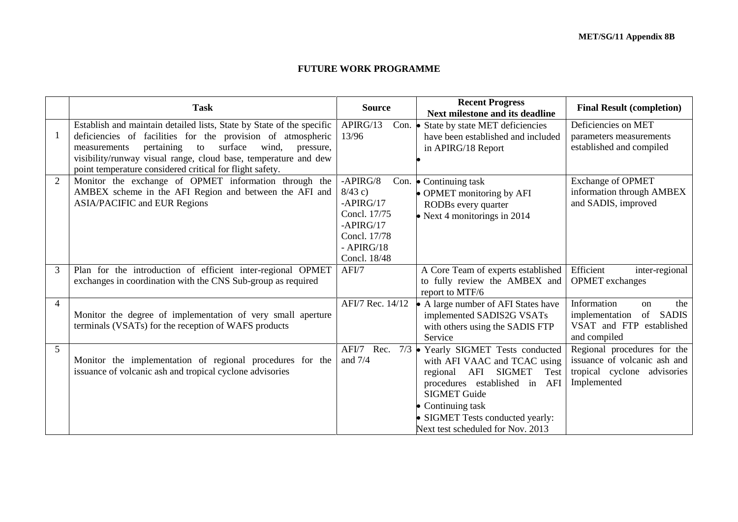## **FUTURE WORK PROGRAMME**

|                | <b>Task</b>                                                                                                                          | <b>Source</b>                       | <b>Recent Progress</b><br>Next milestone and its deadline             | <b>Final Result (completion)</b>               |
|----------------|--------------------------------------------------------------------------------------------------------------------------------------|-------------------------------------|-----------------------------------------------------------------------|------------------------------------------------|
| 1              | Establish and maintain detailed lists, State by State of the specific<br>deficiencies of facilities for the provision of atmospheric | APIRG/13<br>Con. $\bullet$<br>13/96 | State by state MET deficiencies<br>have been established and included | Deficiencies on MET<br>parameters measurements |
|                | surface<br>wind,<br>pertaining<br>pressure,<br>to<br>measurements                                                                    |                                     | in APIRG/18 Report                                                    | established and compiled                       |
|                | visibility/runway visual range, cloud base, temperature and dew<br>point temperature considered critical for flight safety.          |                                     |                                                                       |                                                |
| $\overline{2}$ | Monitor the exchange of OPMET information through the                                                                                | $-APIRG/8$                          | Con. $\bullet$ Continuing task                                        | <b>Exchange of OPMET</b>                       |
|                | AMBEX scheme in the AFI Region and between the AFI and                                                                               | $8/43$ c)                           | • OPMET monitoring by AFI                                             | information through AMBEX                      |
|                | <b>ASIA/PACIFIC and EUR Regions</b>                                                                                                  | $-APIRG/17$                         | RODBs every quarter                                                   | and SADIS, improved                            |
|                |                                                                                                                                      | Concl. 17/75<br>$-APIRG/17$         | • Next 4 monitorings in $2014$                                        |                                                |
|                |                                                                                                                                      | Concl. 17/78                        |                                                                       |                                                |
|                |                                                                                                                                      | $-$ APIRG/18                        |                                                                       |                                                |
|                |                                                                                                                                      | Concl. 18/48                        |                                                                       |                                                |
| 3              | Plan for the introduction of efficient inter-regional OPMET                                                                          | AFI/7                               | A Core Team of experts established                                    | Efficient<br>inter-regional                    |
|                | exchanges in coordination with the CNS Sub-group as required                                                                         |                                     | to fully review the AMBEX and<br>report to MTF/6                      | <b>OPMET</b> exchanges                         |
| $\overline{4}$ |                                                                                                                                      | AFI/7 Rec. 14/12                    | • A large number of AFI States have                                   | Information<br>the<br>on                       |
|                | Monitor the degree of implementation of very small aperture                                                                          |                                     | implemented SADIS2G VSATs                                             | <b>SADIS</b><br>of<br>implementation           |
|                | terminals (VSATs) for the reception of WAFS products                                                                                 |                                     | with others using the SADIS FTP<br>Service                            | VSAT and FTP established                       |
| $\mathfrak{S}$ |                                                                                                                                      | AFI/7 Rec.                          | $7/3$ • Yearly SIGMET Tests conducted                                 | and compiled<br>Regional procedures for the    |
|                | Monitor the implementation of regional procedures for the                                                                            | and $7/4$                           | with AFI VAAC and TCAC using                                          | issuance of volcanic ash and                   |
|                | issuance of volcanic ash and tropical cyclone advisories                                                                             |                                     | regional AFI SIGMET<br>Test                                           | tropical cyclone advisories                    |
|                |                                                                                                                                      |                                     | procedures established in AFI                                         | Implemented                                    |
|                |                                                                                                                                      |                                     | <b>SIGMET Guide</b>                                                   |                                                |
|                |                                                                                                                                      |                                     | • Continuing task                                                     |                                                |
|                |                                                                                                                                      |                                     | • SIGMET Tests conducted yearly:                                      |                                                |
|                |                                                                                                                                      |                                     | Next test scheduled for Nov. 2013                                     |                                                |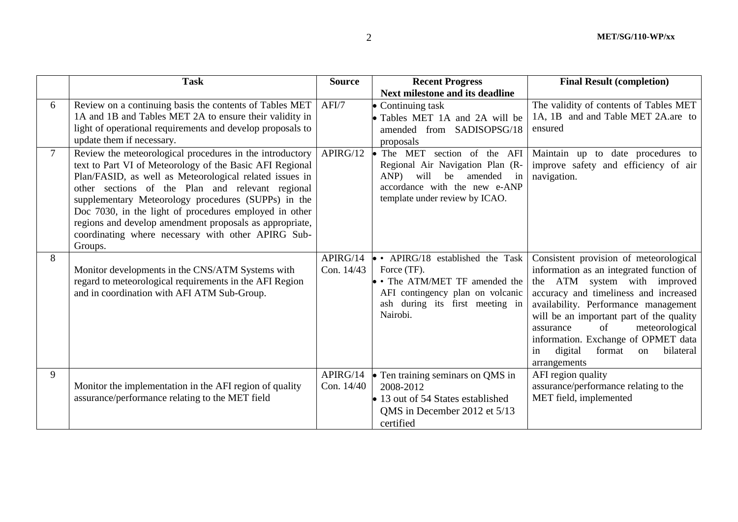|                | <b>Task</b>                                                                                                                                                                                                                                                                                                                                                                                                                                                                      | <b>Source</b>          | <b>Recent Progress</b><br><b>Next milestone and its deadline</b>                                                                                                            | <b>Final Result (completion)</b>                                                                                                                                                                                                                                                                                                                                                          |
|----------------|----------------------------------------------------------------------------------------------------------------------------------------------------------------------------------------------------------------------------------------------------------------------------------------------------------------------------------------------------------------------------------------------------------------------------------------------------------------------------------|------------------------|-----------------------------------------------------------------------------------------------------------------------------------------------------------------------------|-------------------------------------------------------------------------------------------------------------------------------------------------------------------------------------------------------------------------------------------------------------------------------------------------------------------------------------------------------------------------------------------|
| 6              | Review on a continuing basis the contents of Tables MET<br>1A and 1B and Tables MET 2A to ensure their validity in<br>light of operational requirements and develop proposals to<br>update them if necessary.                                                                                                                                                                                                                                                                    | AFI/7                  | • Continuing task<br>• Tables MET 1A and 2A will be<br>amended from SADISOPSG/18<br>proposals                                                                               | The validity of contents of Tables MET<br>1A, 1B and and Table MET 2A.are to<br>ensured                                                                                                                                                                                                                                                                                                   |
| $\overline{7}$ | Review the meteorological procedures in the introductory<br>text to Part VI of Meteorology of the Basic AFI Regional<br>Plan/FASID, as well as Meteorological related issues in<br>other sections of the Plan and relevant regional<br>supplementary Meteorology procedures (SUPPs) in the<br>Doc 7030, in the light of procedures employed in other<br>regions and develop amendment proposals as appropriate,<br>coordinating where necessary with other APIRG Sub-<br>Groups. | APIRG/12               | The MET<br>section of the AFI<br>Regional Air Navigation Plan (R-<br>will<br>amended<br>in<br>ANP)<br>be<br>accordance with the new e-ANP<br>template under review by ICAO. | Maintain up to date procedures to<br>improve safety and efficiency of air<br>navigation.                                                                                                                                                                                                                                                                                                  |
| 8              | Monitor developments in the CNS/ATM Systems with<br>regard to meteorological requirements in the AFI Region<br>and in coordination with AFI ATM Sub-Group.                                                                                                                                                                                                                                                                                                                       | APIRG/14<br>Con. 14/43 | $\bullet$ • APIRG/18 established the Task<br>Force (TF).<br>• The ATM/MET TF amended the<br>AFI contingency plan on volcanic<br>ash during its first meeting in<br>Nairobi. | Consistent provision of meteorological<br>information as an integrated function of<br>the ATM system with improved<br>accuracy and timeliness and increased<br>availability. Performance management<br>will be an important part of the quality<br>of<br>meteorological<br>assurance<br>information. Exchange of OPMET data<br>bilateral<br>digital<br>format<br>in<br>on<br>arrangements |
| 9              | Monitor the implementation in the AFI region of quality<br>assurance/performance relating to the MET field                                                                                                                                                                                                                                                                                                                                                                       | APIRG/14<br>Con. 14/40 | • Ten training seminars on QMS in<br>2008-2012<br>13 out of 54 States established<br>OMS in December 2012 et 5/13<br>certified                                              | AFI region quality<br>assurance/performance relating to the<br>MET field, implemented                                                                                                                                                                                                                                                                                                     |